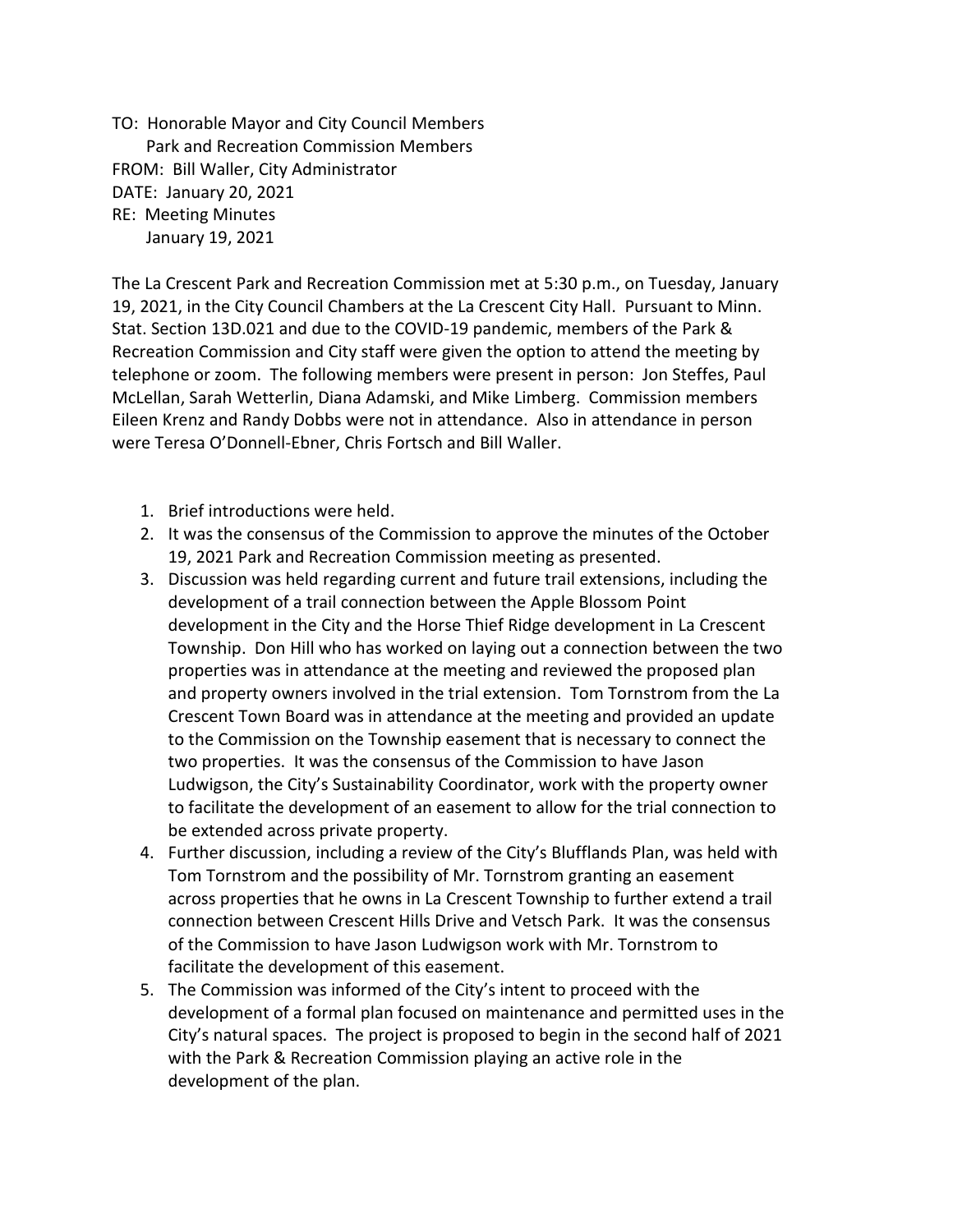TO: Honorable Mayor and City Council Members Park and Recreation Commission Members FROM: Bill Waller, City Administrator DATE: January 20, 2021 RE: Meeting Minutes January 19, 2021

The La Crescent Park and Recreation Commission met at 5:30 p.m., on Tuesday, January 19, 2021, in the City Council Chambers at the La Crescent City Hall. Pursuant to Minn. Stat. Section 13D.021 and due to the COVID-19 pandemic, members of the Park & Recreation Commission and City staff were given the option to attend the meeting by telephone or zoom. The following members were present in person: Jon Steffes, Paul McLellan, Sarah Wetterlin, Diana Adamski, and Mike Limberg. Commission members Eileen Krenz and Randy Dobbs were not in attendance. Also in attendance in person were Teresa O'Donnell-Ebner, Chris Fortsch and Bill Waller.

- 1. Brief introductions were held.
- 2. It was the consensus of the Commission to approve the minutes of the October 19, 2021 Park and Recreation Commission meeting as presented.
- 3. Discussion was held regarding current and future trail extensions, including the development of a trail connection between the Apple Blossom Point development in the City and the Horse Thief Ridge development in La Crescent Township. Don Hill who has worked on laying out a connection between the two properties was in attendance at the meeting and reviewed the proposed plan and property owners involved in the trial extension. Tom Tornstrom from the La Crescent Town Board was in attendance at the meeting and provided an update to the Commission on the Township easement that is necessary to connect the two properties. It was the consensus of the Commission to have Jason Ludwigson, the City's Sustainability Coordinator, work with the property owner to facilitate the development of an easement to allow for the trial connection to be extended across private property.
- 4. Further discussion, including a review of the City's Blufflands Plan, was held with Tom Tornstrom and the possibility of Mr. Tornstrom granting an easement across properties that he owns in La Crescent Township to further extend a trail connection between Crescent Hills Drive and Vetsch Park. It was the consensus of the Commission to have Jason Ludwigson work with Mr. Tornstrom to facilitate the development of this easement.
- 5. The Commission was informed of the City's intent to proceed with the development of a formal plan focused on maintenance and permitted uses in the City's natural spaces. The project is proposed to begin in the second half of 2021 with the Park & Recreation Commission playing an active role in the development of the plan.